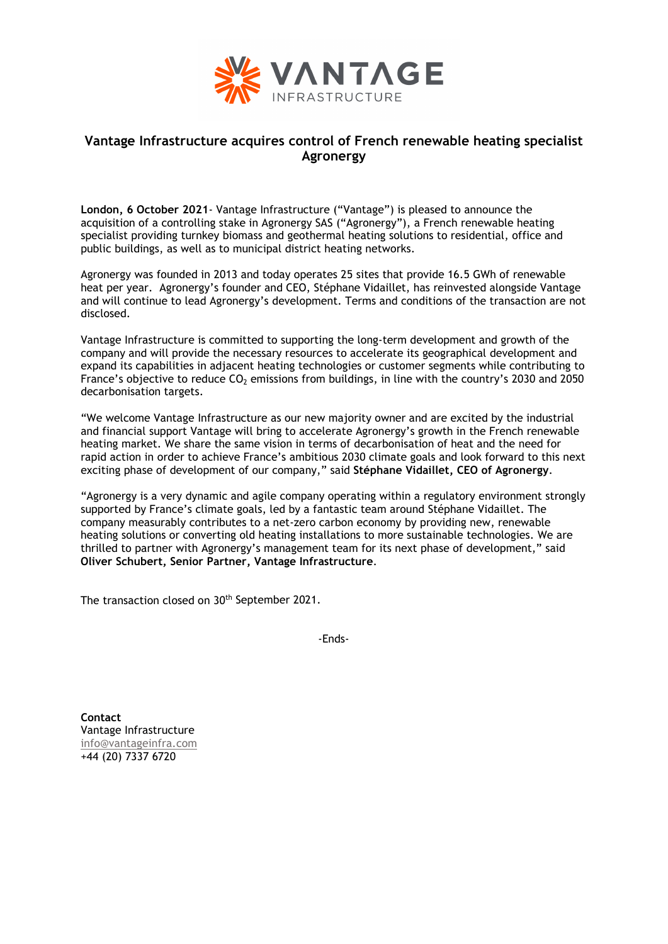

## **Vantage Infrastructure acquires control of French renewable heating specialist Agronergy**

**London, 6 October 2021**- Vantage Infrastructure ("Vantage") is pleased to announce the acquisition of a controlling stake in Agronergy SAS ("Agronergy"), a French renewable heating specialist providing turnkey biomass and geothermal heating solutions to residential, office and public buildings, as well as to municipal district heating networks.

Agronergy was founded in 2013 and today operates 25 sites that provide 16.5 GWh of renewable heat per year. Agronergy's founder and CEO, Stéphane Vidaillet, has reinvested alongside Vantage and will continue to lead Agronergy's development. Terms and conditions of the transaction are not disclosed.

Vantage Infrastructure is committed to supporting the long-term development and growth of the company and will provide the necessary resources to accelerate its geographical development and expand its capabilities in adjacent heating technologies or customer segments while contributing to France's objective to reduce  $CO<sub>2</sub>$  emissions from buildings, in line with the country's 2030 and 2050 decarbonisation targets.

"We welcome Vantage Infrastructure as our new majority owner and are excited by the industrial and financial support Vantage will bring to accelerate Agronergy's growth in the French renewable heating market. We share the same vision in terms of decarbonisation of heat and the need for rapid action in order to achieve France's ambitious 2030 climate goals and look forward to this next exciting phase of development of our company," said **Stéphane Vidaillet, CEO of Agronergy**.

"Agronergy is a very dynamic and agile company operating within a regulatory environment strongly supported by France's climate goals, led by a fantastic team around Stéphane Vidaillet. The company measurably contributes to a net-zero carbon economy by providing new, renewable heating solutions or converting old heating installations to more sustainable technologies. We are thrilled to partner with Agronergy's management team for its next phase of development," said **Oliver Schubert, Senior Partner, Vantage Infrastructure**.

The transaction closed on 30<sup>th</sup> September 2021.

-Ends-

**Contact**  Vantage Infrastructure [info@vantageinfra.com](mailto:info@vantageinfra.com) +44 (20) 7337 6720